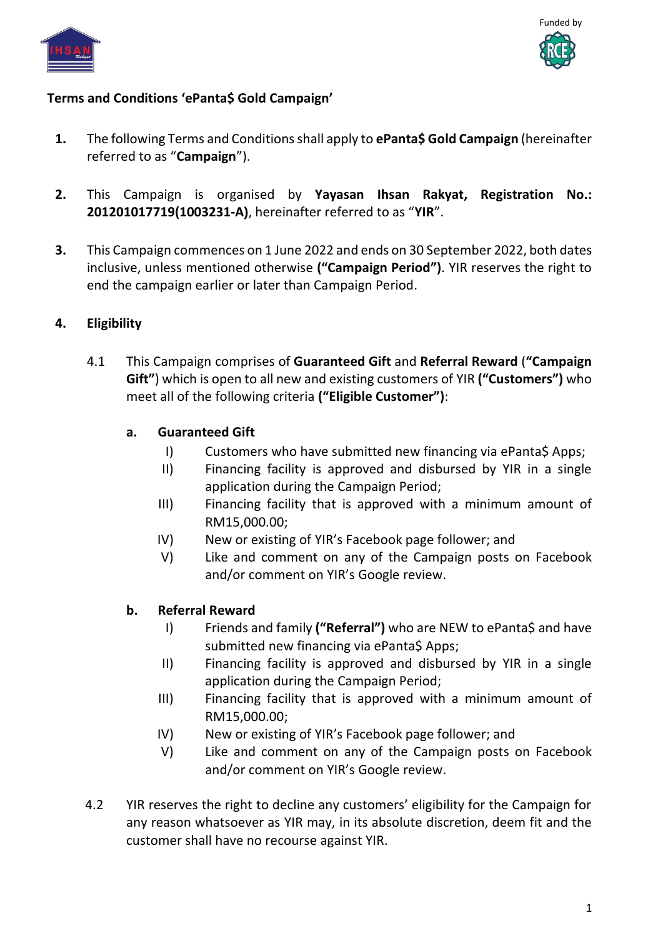



## **Terms and Conditions 'ePanta\$ Gold Campaign'**

- **1.** The following Terms and Conditions shall apply to **ePanta\$ Gold Campaign** (hereinafter referred to as "**Campaign**").
- **2.** This Campaign is organised by **Yayasan Ihsan Rakyat, Registration No.: 201201017719(1003231-A)**, hereinafter referred to as "**YIR**".
- **3.** This Campaign commences on 1 June 2022 and ends on 30 September 2022, both dates inclusive, unless mentioned otherwise **("Campaign Period")**. YIR reserves the right to end the campaign earlier or later than Campaign Period.

# **4. Eligibility**

4.1 This Campaign comprises of **Guaranteed Gift** and **Referral Reward** (**"Campaign Gift"**) which is open to all new and existing customers of YIR **("Customers")** who meet all of the following criteria **("Eligible Customer")**:

### **a. Guaranteed Gift**

- I) Customers who have submitted new financing via ePanta\$ Apps;
- II) Financing facility is approved and disbursed by YIR in a single application during the Campaign Period;
- III) Financing facility that is approved with a minimum amount of RM15,000.00;
- IV) New or existing of YIR's Facebook page follower; and
- V) Like and comment on any of the Campaign posts on Facebook and/or comment on YIR's Google review.

### **b. Referral Reward**

- I) Friends and family **("Referral")** who are NEW to ePanta\$ and have submitted new financing via ePanta\$ Apps;
- II) Financing facility is approved and disbursed by YIR in a single application during the Campaign Period;
- III) Financing facility that is approved with a minimum amount of RM15,000.00;
- IV) New or existing of YIR's Facebook page follower; and
- V) Like and comment on any of the Campaign posts on Facebook and/or comment on YIR's Google review.
- 4.2 YIR reserves the right to decline any customers' eligibility for the Campaign for any reason whatsoever as YIR may, in its absolute discretion, deem fit and the customer shall have no recourse against YIR.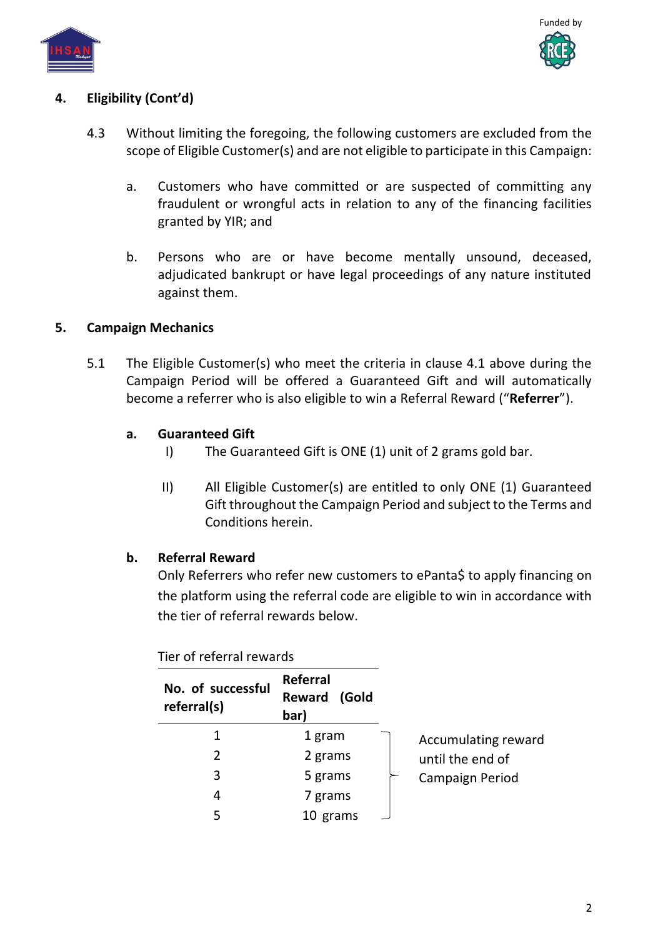



### **4. Eligibility (Cont'd)**

- 4.3 Without limiting the foregoing, the following customers are excluded from the scope of Eligible Customer(s) and are not eligible to participate in this Campaign:
	- a. Customers who have committed or are suspected of committing any fraudulent or wrongful acts in relation to any of the financing facilities granted by YIR; and
	- b. Persons who are or have become mentally unsound, deceased, adjudicated bankrupt or have legal proceedings of any nature instituted against them.

#### **5. Campaign Mechanics**

5.1 The Eligible Customer(s) who meet the criteria in clause 4.1 above during the Campaign Period will be offered a Guaranteed Gift and will automatically become a referrer who is also eligible to win a Referral Reward ("**Referrer**").

#### **a. Guaranteed Gift**

- I) The Guaranteed Gift is ONE (1) unit of 2 grams gold bar.
- II) All Eligible Customer(s) are entitled to only ONE (1) Guaranteed Gift throughout the Campaign Period and subject to the Terms and Conditions herein.

### **b. Referral Reward**

Only Referrers who refer new customers to ePanta\$ to apply financing on the platform using the referral code are eligible to win in accordance with the tier of referral rewards below.

**No. of successful referral(s) Referral Reward (Gold bar)** 1 1 gram 2 2 grams 3 5 grams 4 7 grams 5 10 grams Accumulating reward until the end of Campaign Period

Tier of referral rewards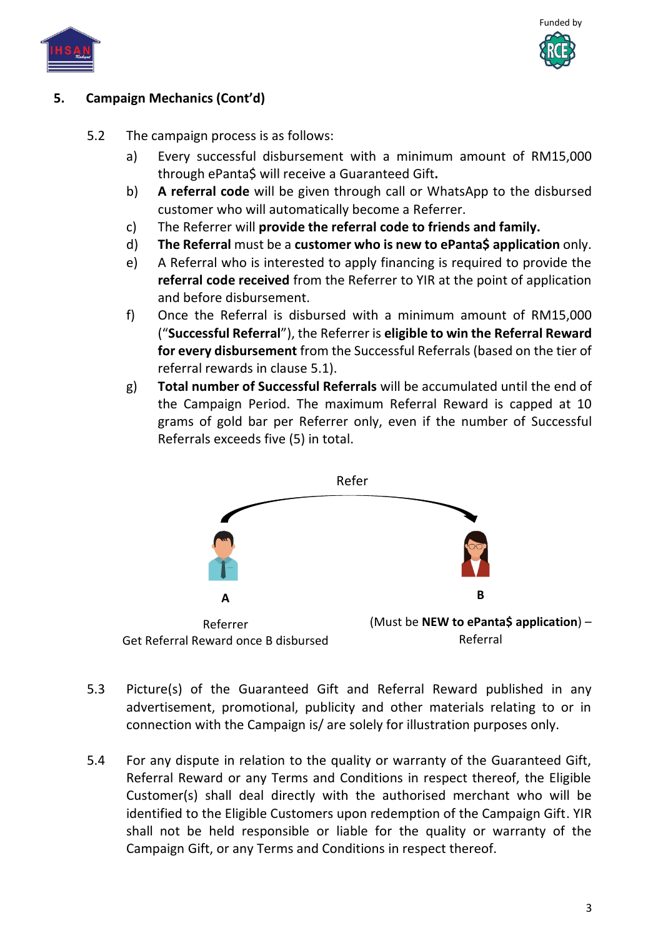



### **5. Campaign Mechanics (Cont'd)**

- 5.2 The campaign process is as follows:
	- a) Every successful disbursement with a minimum amount of RM15,000 through ePanta\$ will receive a Guaranteed Gift**.**
	- b) **A referral code** will be given through call or WhatsApp to the disbursed customer who will automatically become a Referrer.
	- c) The Referrer will **provide the referral code to friends and family.**
	- d) **The Referral** must be a **customer who is new to ePanta\$ application** only.
	- e) A Referral who is interested to apply financing is required to provide the **referral code received** from the Referrer to YIR at the point of application and before disbursement.
	- f) Once the Referral is disbursed with a minimum amount of RM15,000 ("**Successful Referral**"), the Referrer is **eligible to win the Referral Reward for every disbursement** from the Successful Referrals (based on the tier of referral rewards in clause 5.1).
	- g) **Total number of Successful Referrals** will be accumulated until the end of the Campaign Period. The maximum Referral Reward is capped at 10 grams of gold bar per Referrer only, even if the number of Successful Referrals exceeds five (5) in total.



- 5.3 Picture(s) of the Guaranteed Gift and Referral Reward published in any advertisement, promotional, publicity and other materials relating to or in connection with the Campaign is/ are solely for illustration purposes only.
- 5.4 For any dispute in relation to the quality or warranty of the Guaranteed Gift, Referral Reward or any Terms and Conditions in respect thereof, the Eligible Customer(s) shall deal directly with the authorised merchant who will be identified to the Eligible Customers upon redemption of the Campaign Gift. YIR shall not be held responsible or liable for the quality or warranty of the Campaign Gift, or any Terms and Conditions in respect thereof.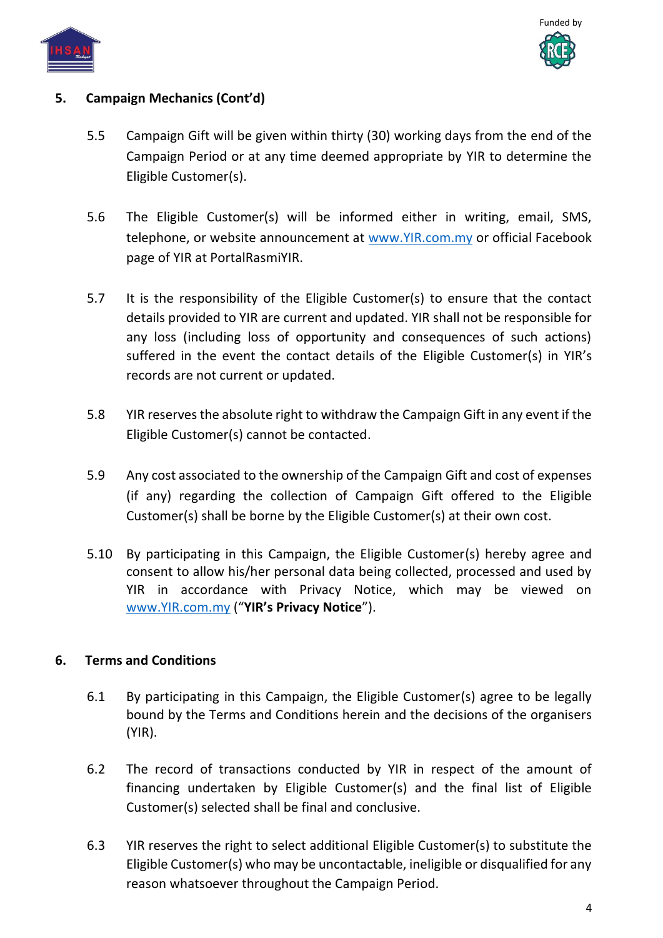



### **5. Campaign Mechanics (Cont'd)**

- 5.5 Campaign Gift will be given within thirty (30) working days from the end of the Campaign Period or at any time deemed appropriate by YIR to determine the Eligible Customer(s).
- 5.6 The Eligible Customer(s) will be informed either in writing, email, SMS, telephone, or website announcement at [www.YIR.com.my](http://www.yyp.com.my/) or official Facebook page of YIR at PortalRasmiYIR.
- 5.7 It is the responsibility of the Eligible Customer(s) to ensure that the contact details provided to YIR are current and updated. YIR shall not be responsible for any loss (including loss of opportunity and consequences of such actions) suffered in the event the contact details of the Eligible Customer(s) in YIR's records are not current or updated.
- 5.8 YIR reserves the absolute right to withdraw the Campaign Gift in any event if the Eligible Customer(s) cannot be contacted.
- 5.9 Any cost associated to the ownership of the Campaign Gift and cost of expenses (if any) regarding the collection of Campaign Gift offered to the Eligible Customer(s) shall be borne by the Eligible Customer(s) at their own cost.
- 5.10 By participating in this Campaign, the Eligible Customer(s) hereby agree and consent to allow his/her personal data being collected, processed and used by YIR in accordance with Privacy Notice, which may be viewed on [www.YIR.com.my](http://www.yyp.com.my/) ("**YIR's Privacy Notice**").

# **6. Terms and Conditions**

- 6.1 By participating in this Campaign, the Eligible Customer(s) agree to be legally bound by the Terms and Conditions herein and the decisions of the organisers (YIR).
- 6.2 The record of transactions conducted by YIR in respect of the amount of financing undertaken by Eligible Customer(s) and the final list of Eligible Customer(s) selected shall be final and conclusive.
- 6.3 YIR reserves the right to select additional Eligible Customer(s) to substitute the Eligible Customer(s) who may be uncontactable, ineligible or disqualified for any reason whatsoever throughout the Campaign Period.